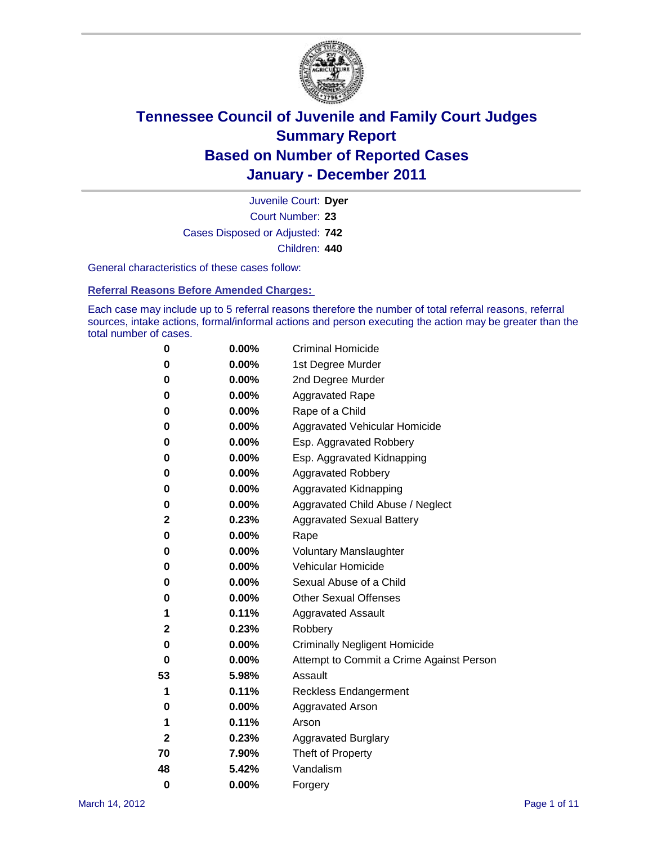

Court Number: **23** Juvenile Court: **Dyer** Cases Disposed or Adjusted: **742** Children: **440**

General characteristics of these cases follow:

**Referral Reasons Before Amended Charges:** 

Each case may include up to 5 referral reasons therefore the number of total referral reasons, referral sources, intake actions, formal/informal actions and person executing the action may be greater than the total number of cases.

| 0  | 0.00%    | <b>Criminal Homicide</b>                 |  |  |  |
|----|----------|------------------------------------------|--|--|--|
| 0  | 0.00%    | 1st Degree Murder                        |  |  |  |
| 0  | 0.00%    | 2nd Degree Murder                        |  |  |  |
| 0  | 0.00%    | <b>Aggravated Rape</b>                   |  |  |  |
| 0  | 0.00%    | Rape of a Child                          |  |  |  |
| 0  | 0.00%    | Aggravated Vehicular Homicide            |  |  |  |
| 0  | 0.00%    | Esp. Aggravated Robbery                  |  |  |  |
| 0  | 0.00%    | Esp. Aggravated Kidnapping               |  |  |  |
| 0  | 0.00%    | <b>Aggravated Robbery</b>                |  |  |  |
| 0  | 0.00%    | Aggravated Kidnapping                    |  |  |  |
| 0  | 0.00%    | Aggravated Child Abuse / Neglect         |  |  |  |
| 2  | 0.23%    | <b>Aggravated Sexual Battery</b>         |  |  |  |
| 0  | 0.00%    | Rape                                     |  |  |  |
| 0  | $0.00\%$ | <b>Voluntary Manslaughter</b>            |  |  |  |
| 0  | 0.00%    | Vehicular Homicide                       |  |  |  |
| 0  | 0.00%    | Sexual Abuse of a Child                  |  |  |  |
| 0  | 0.00%    | <b>Other Sexual Offenses</b>             |  |  |  |
| 1  | 0.11%    | <b>Aggravated Assault</b>                |  |  |  |
| 2  | 0.23%    | Robbery                                  |  |  |  |
| 0  | 0.00%    | <b>Criminally Negligent Homicide</b>     |  |  |  |
| 0  | 0.00%    | Attempt to Commit a Crime Against Person |  |  |  |
| 53 | 5.98%    | Assault                                  |  |  |  |
| 1  | 0.11%    | <b>Reckless Endangerment</b>             |  |  |  |
| 0  | 0.00%    | <b>Aggravated Arson</b>                  |  |  |  |
| 1  | 0.11%    | Arson                                    |  |  |  |
| 2  | 0.23%    | <b>Aggravated Burglary</b>               |  |  |  |
| 70 | 7.90%    | Theft of Property                        |  |  |  |
| 48 | 5.42%    | Vandalism                                |  |  |  |
| 0  | 0.00%    | Forgery                                  |  |  |  |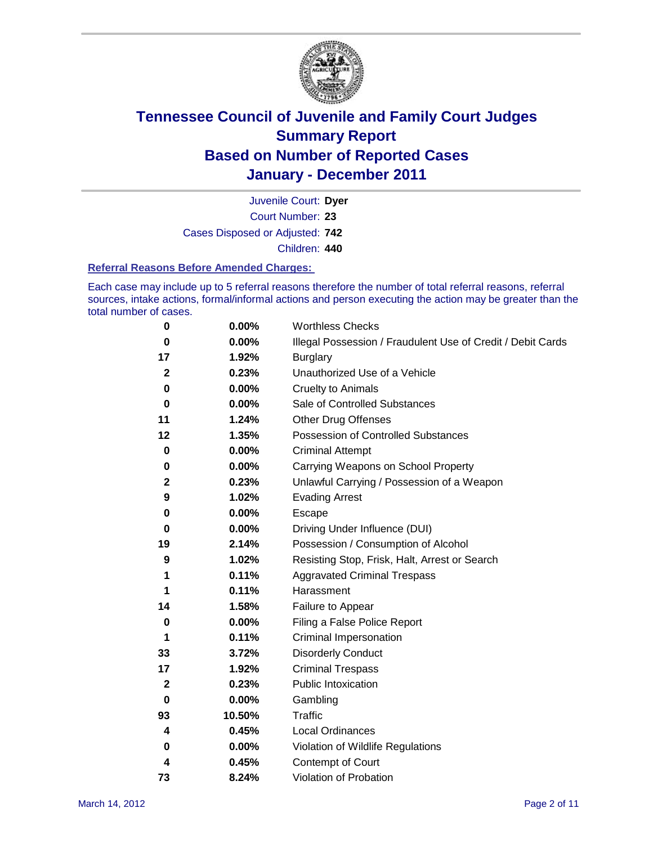

Court Number: **23** Juvenile Court: **Dyer** Cases Disposed or Adjusted: **742** Children: **440**

#### **Referral Reasons Before Amended Charges:**

Each case may include up to 5 referral reasons therefore the number of total referral reasons, referral sources, intake actions, formal/informal actions and person executing the action may be greater than the total number of cases.

| 0            | 0.00%  | <b>Worthless Checks</b>                                     |
|--------------|--------|-------------------------------------------------------------|
| 0            | 0.00%  | Illegal Possession / Fraudulent Use of Credit / Debit Cards |
| 17           | 1.92%  | <b>Burglary</b>                                             |
| $\mathbf{2}$ | 0.23%  | Unauthorized Use of a Vehicle                               |
| 0            | 0.00%  | <b>Cruelty to Animals</b>                                   |
| 0            | 0.00%  | Sale of Controlled Substances                               |
| 11           | 1.24%  | <b>Other Drug Offenses</b>                                  |
| 12           | 1.35%  | Possession of Controlled Substances                         |
| 0            | 0.00%  | <b>Criminal Attempt</b>                                     |
| 0            | 0.00%  | Carrying Weapons on School Property                         |
| $\mathbf{2}$ | 0.23%  | Unlawful Carrying / Possession of a Weapon                  |
| 9            | 1.02%  | <b>Evading Arrest</b>                                       |
| 0            | 0.00%  | Escape                                                      |
| 0            | 0.00%  | Driving Under Influence (DUI)                               |
| 19           | 2.14%  | Possession / Consumption of Alcohol                         |
| 9            | 1.02%  | Resisting Stop, Frisk, Halt, Arrest or Search               |
| 1            | 0.11%  | <b>Aggravated Criminal Trespass</b>                         |
| 1            | 0.11%  | Harassment                                                  |
| 14           | 1.58%  | Failure to Appear                                           |
| 0            | 0.00%  | Filing a False Police Report                                |
| 1            | 0.11%  | Criminal Impersonation                                      |
| 33           | 3.72%  | <b>Disorderly Conduct</b>                                   |
| 17           | 1.92%  | <b>Criminal Trespass</b>                                    |
| 2            | 0.23%  | <b>Public Intoxication</b>                                  |
| 0            | 0.00%  | Gambling                                                    |
| 93           | 10.50% | <b>Traffic</b>                                              |
| 4            | 0.45%  | <b>Local Ordinances</b>                                     |
| 0            | 0.00%  | Violation of Wildlife Regulations                           |
| 4            | 0.45%  | Contempt of Court                                           |
| 73           | 8.24%  | Violation of Probation                                      |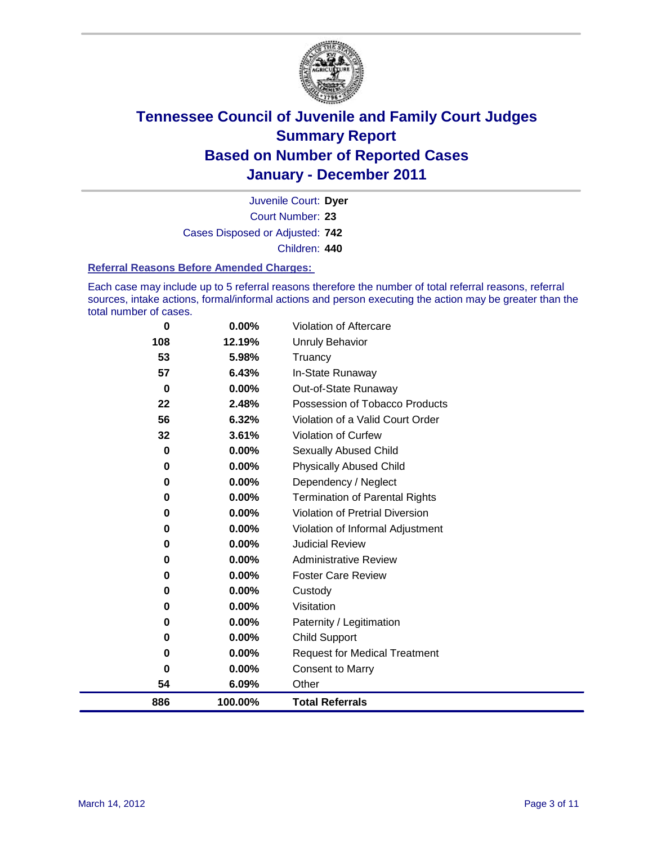

Court Number: **23** Juvenile Court: **Dyer** Cases Disposed or Adjusted: **742** Children: **440**

#### **Referral Reasons Before Amended Charges:**

Each case may include up to 5 referral reasons therefore the number of total referral reasons, referral sources, intake actions, formal/informal actions and person executing the action may be greater than the total number of cases.

| 886      | 100.00%  | <b>Total Referrals</b>                 |
|----------|----------|----------------------------------------|
| 54       | 6.09%    | Other                                  |
| 0        | $0.00\%$ | <b>Consent to Marry</b>                |
| 0        | $0.00\%$ | <b>Request for Medical Treatment</b>   |
| 0        | 0.00%    | <b>Child Support</b>                   |
| 0        | $0.00\%$ | Paternity / Legitimation               |
| 0        | $0.00\%$ | Visitation                             |
| 0        | 0.00%    | Custody                                |
| 0        | $0.00\%$ | <b>Foster Care Review</b>              |
| 0        | $0.00\%$ | <b>Administrative Review</b>           |
| 0        | 0.00%    | <b>Judicial Review</b>                 |
| 0        | $0.00\%$ | Violation of Informal Adjustment       |
| 0        | 0.00%    | <b>Violation of Pretrial Diversion</b> |
| 0        | 0.00%    | <b>Termination of Parental Rights</b>  |
| 0        | $0.00\%$ | Dependency / Neglect                   |
| 0        | 0.00%    | <b>Physically Abused Child</b>         |
| 0        | $0.00\%$ | Sexually Abused Child                  |
| 32       | 3.61%    | <b>Violation of Curfew</b>             |
| 56       | 6.32%    | Violation of a Valid Court Order       |
| 22       | 2.48%    | Possession of Tobacco Products         |
| $\bf{0}$ | $0.00\%$ | Out-of-State Runaway                   |
| 57       | 6.43%    | In-State Runaway                       |
| 53       | 5.98%    | Truancy                                |
| 108      | 12.19%   | <b>Unruly Behavior</b>                 |
| 0        | 0.00%    | Violation of Aftercare                 |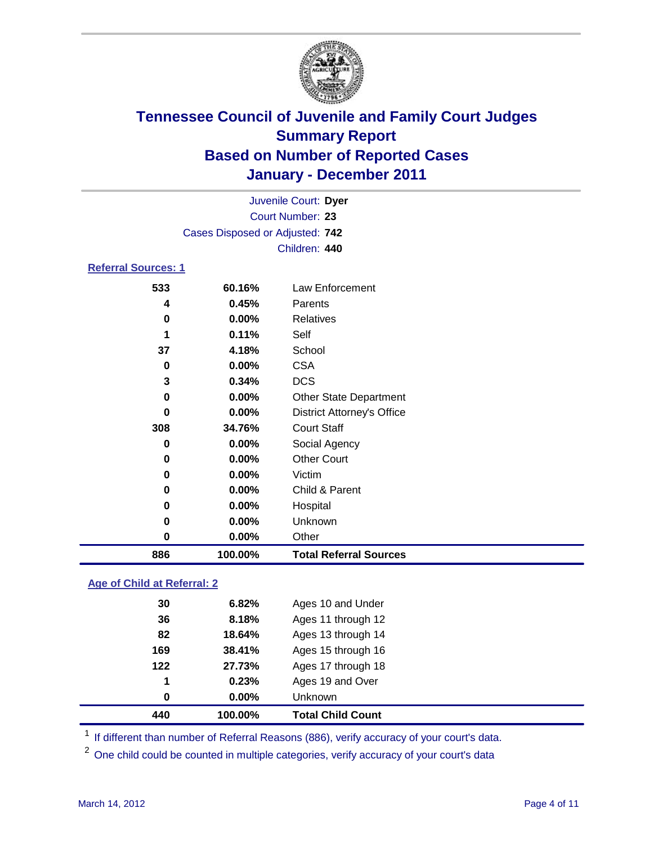

| Juvenile Court: Dyer       |                                 |                                   |  |  |
|----------------------------|---------------------------------|-----------------------------------|--|--|
| Court Number: 23           |                                 |                                   |  |  |
|                            | Cases Disposed or Adjusted: 742 |                                   |  |  |
|                            |                                 | Children: 440                     |  |  |
| <b>Referral Sources: 1</b> |                                 |                                   |  |  |
| 533                        | 60.16%                          | Law Enforcement                   |  |  |
| 4                          | 0.45%                           | Parents                           |  |  |
| 0                          | $0.00\%$                        | Relatives                         |  |  |
| 1                          | 0.11%                           | Self                              |  |  |
| 37                         | 4.18%                           | School                            |  |  |
| 0                          | $0.00\%$                        | <b>CSA</b>                        |  |  |
| 3                          | 0.34%                           | <b>DCS</b>                        |  |  |
| 0                          | 0.00%                           | <b>Other State Department</b>     |  |  |
| 0                          | $0.00\%$                        | <b>District Attorney's Office</b> |  |  |
| 308                        | 34.76%                          | <b>Court Staff</b>                |  |  |
| 0                          | 0.00%                           | Social Agency                     |  |  |
| 0                          | $0.00\%$                        | <b>Other Court</b>                |  |  |
| 0                          | $0.00\%$                        | Victim                            |  |  |
| 0                          | 0.00%                           | Child & Parent                    |  |  |

 **0.00%** Hospital **0.00%** Unknown **0.00%** Other **100.00% Total Referral Sources**

### **Age of Child at Referral: 2**

|       |          | <b>Total Child Count</b> |
|-------|----------|--------------------------|
| 0     | $0.00\%$ | <b>Unknown</b>           |
| 1     | 0.23%    | Ages 19 and Over         |
| $122$ | 27.73%   | Ages 17 through 18       |
| 169   | 38.41%   | Ages 15 through 16       |
| 82    | 18.64%   | Ages 13 through 14       |
| 36    | 8.18%    | Ages 11 through 12       |
| 30    | 6.82%    | Ages 10 and Under        |
|       |          | 440<br>100.00%           |

<sup>1</sup> If different than number of Referral Reasons (886), verify accuracy of your court's data.

<sup>2</sup> One child could be counted in multiple categories, verify accuracy of your court's data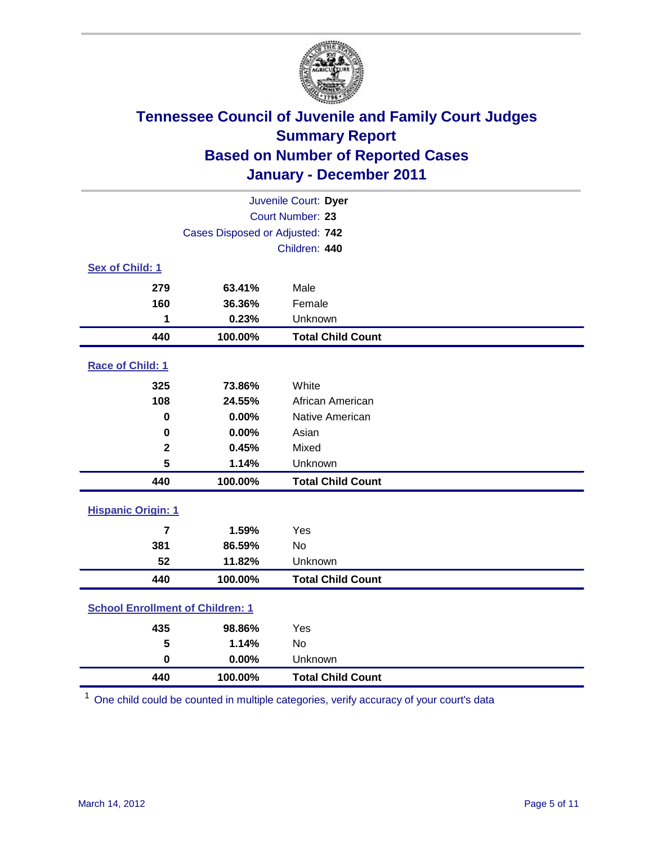

| Juvenile Court: Dyer                    |                                 |                          |  |  |  |
|-----------------------------------------|---------------------------------|--------------------------|--|--|--|
|                                         | Court Number: 23                |                          |  |  |  |
|                                         | Cases Disposed or Adjusted: 742 |                          |  |  |  |
|                                         |                                 | Children: 440            |  |  |  |
| Sex of Child: 1                         |                                 |                          |  |  |  |
| 279                                     | 63.41%                          | Male                     |  |  |  |
| 160                                     | 36.36%                          | Female                   |  |  |  |
| 1                                       | 0.23%                           | Unknown                  |  |  |  |
| 440                                     | 100.00%                         | <b>Total Child Count</b> |  |  |  |
| Race of Child: 1                        |                                 |                          |  |  |  |
| 325                                     | 73.86%                          | White                    |  |  |  |
| 108                                     | 24.55%                          | African American         |  |  |  |
| $\mathbf 0$                             | 0.00%                           | Native American          |  |  |  |
| $\mathbf 0$                             | 0.00%                           | Asian                    |  |  |  |
| $\mathbf 2$                             | 0.45%                           | Mixed                    |  |  |  |
| 5                                       | 1.14%                           | Unknown                  |  |  |  |
| 440                                     | 100.00%                         | <b>Total Child Count</b> |  |  |  |
| <b>Hispanic Origin: 1</b>               |                                 |                          |  |  |  |
| $\overline{7}$                          | 1.59%                           | Yes                      |  |  |  |
| 381                                     | 86.59%                          | <b>No</b>                |  |  |  |
| 52                                      | 11.82%                          | Unknown                  |  |  |  |
| 440                                     | 100.00%                         | <b>Total Child Count</b> |  |  |  |
| <b>School Enrollment of Children: 1</b> |                                 |                          |  |  |  |
| 435                                     | 98.86%                          | Yes                      |  |  |  |
| 5                                       | 1.14%                           | No                       |  |  |  |
| $\mathbf 0$                             | 0.00%                           | Unknown                  |  |  |  |
| 440                                     | 100.00%                         | <b>Total Child Count</b> |  |  |  |

One child could be counted in multiple categories, verify accuracy of your court's data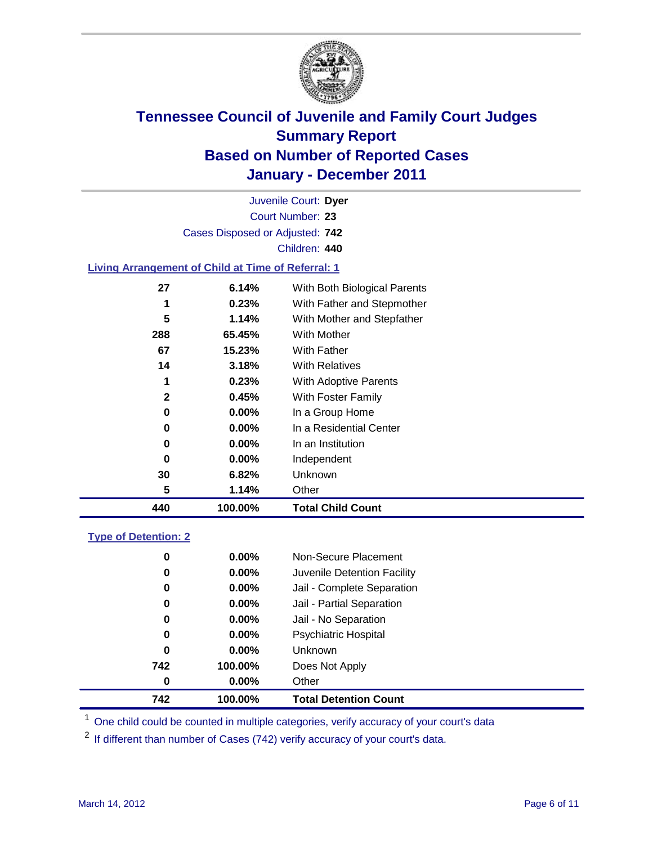

Court Number: **23** Juvenile Court: **Dyer** Cases Disposed or Adjusted: **742** Children: **440**

#### **Living Arrangement of Child at Time of Referral: 1**

| 440 | 100.00%  | <b>Total Child Count</b>     |  |
|-----|----------|------------------------------|--|
| 5   | 1.14%    | Other                        |  |
| 30  | 6.82%    | Unknown                      |  |
| 0   | $0.00\%$ | Independent                  |  |
| 0   | $0.00\%$ | In an Institution            |  |
| 0   | $0.00\%$ | In a Residential Center      |  |
| 0   | $0.00\%$ | In a Group Home              |  |
| 2   | 0.45%    | With Foster Family           |  |
| 1   | 0.23%    | With Adoptive Parents        |  |
| 14  | 3.18%    | <b>With Relatives</b>        |  |
| 67  | 15.23%   | <b>With Father</b>           |  |
| 288 | 65.45%   | <b>With Mother</b>           |  |
| 5   | 1.14%    | With Mother and Stepfather   |  |
| 1   | 0.23%    | With Father and Stepmother   |  |
| 27  | 6.14%    | With Both Biological Parents |  |
|     |          |                              |  |

#### **Type of Detention: 2**

| 742      | 100.00%  | <b>Total Detention Count</b> |  |
|----------|----------|------------------------------|--|
| 0        | $0.00\%$ | Other                        |  |
| 742      | 100.00%  | Does Not Apply               |  |
| 0        | $0.00\%$ | Unknown                      |  |
| 0        | 0.00%    | <b>Psychiatric Hospital</b>  |  |
| $\bf{0}$ | 0.00%    | Jail - No Separation         |  |
| 0        | $0.00\%$ | Jail - Partial Separation    |  |
| 0        | $0.00\%$ | Jail - Complete Separation   |  |
| 0        | 0.00%    | Juvenile Detention Facility  |  |
| 0        | $0.00\%$ | Non-Secure Placement         |  |
|          |          |                              |  |

<sup>1</sup> One child could be counted in multiple categories, verify accuracy of your court's data

<sup>2</sup> If different than number of Cases (742) verify accuracy of your court's data.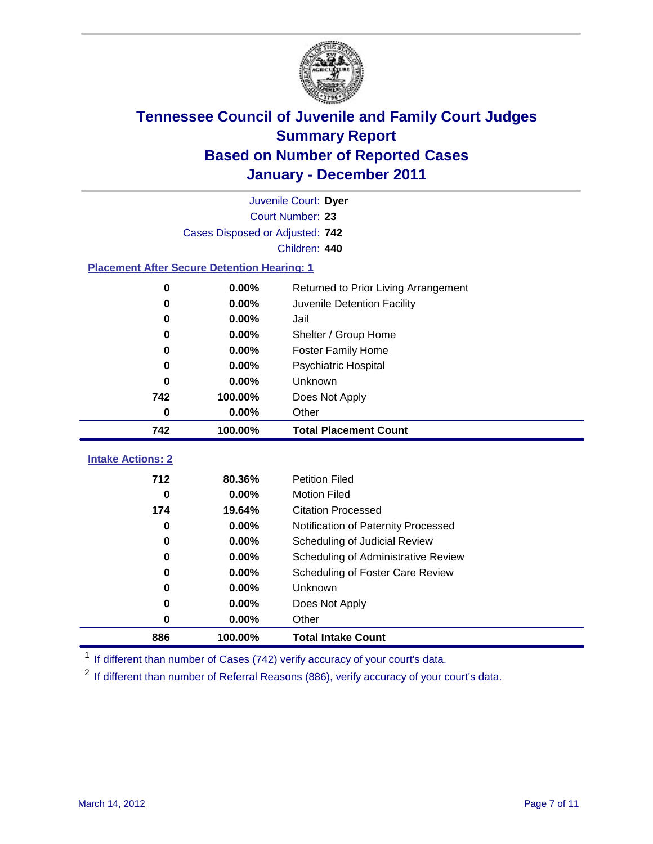

|                                                    | Juvenile Court: Dyer            |                                      |  |  |  |  |  |
|----------------------------------------------------|---------------------------------|--------------------------------------|--|--|--|--|--|
|                                                    | Court Number: 23                |                                      |  |  |  |  |  |
|                                                    | Cases Disposed or Adjusted: 742 |                                      |  |  |  |  |  |
|                                                    | Children: 440                   |                                      |  |  |  |  |  |
| <b>Placement After Secure Detention Hearing: 1</b> |                                 |                                      |  |  |  |  |  |
| $\bf{0}$                                           | 0.00%                           | Returned to Prior Living Arrangement |  |  |  |  |  |
| 0                                                  | $0.00\%$                        | Juvenile Detention Facility          |  |  |  |  |  |
| 0                                                  | 0.00%                           | Jail                                 |  |  |  |  |  |
| 0                                                  | 0.00%                           | Shelter / Group Home                 |  |  |  |  |  |
| 0                                                  | 0.00%                           | <b>Foster Family Home</b>            |  |  |  |  |  |
| 0                                                  | 0.00%                           | Psychiatric Hospital                 |  |  |  |  |  |
| 0                                                  | 0.00%                           | Unknown                              |  |  |  |  |  |
| 742<br>100.00%                                     |                                 | Does Not Apply                       |  |  |  |  |  |
| 0                                                  | 0.00%                           | Other                                |  |  |  |  |  |
| 742                                                | 100.00%                         | <b>Total Placement Count</b>         |  |  |  |  |  |
| <b>Intake Actions: 2</b>                           |                                 |                                      |  |  |  |  |  |
| 712                                                | 80.36%                          | <b>Petition Filed</b>                |  |  |  |  |  |
| 0                                                  | 0.00%                           | <b>Motion Filed</b>                  |  |  |  |  |  |
| 174                                                | 19.64%                          | <b>Citation Processed</b>            |  |  |  |  |  |
| 0                                                  | 0.00%                           | Notification of Paternity Processed  |  |  |  |  |  |
| 0                                                  | 0.00%                           | Scheduling of Judicial Review        |  |  |  |  |  |
| 0                                                  | 0.00%                           | Scheduling of Administrative Review  |  |  |  |  |  |
| 0                                                  | 0.00%                           | Scheduling of Foster Care Review     |  |  |  |  |  |
| 0                                                  | 0.00%                           | Unknown                              |  |  |  |  |  |
| 0                                                  | 0.00%                           | Does Not Apply                       |  |  |  |  |  |
| 0                                                  | $0.00\%$                        | Other                                |  |  |  |  |  |

<sup>1</sup> If different than number of Cases (742) verify accuracy of your court's data.

**100.00% Total Intake Count**

<sup>2</sup> If different than number of Referral Reasons (886), verify accuracy of your court's data.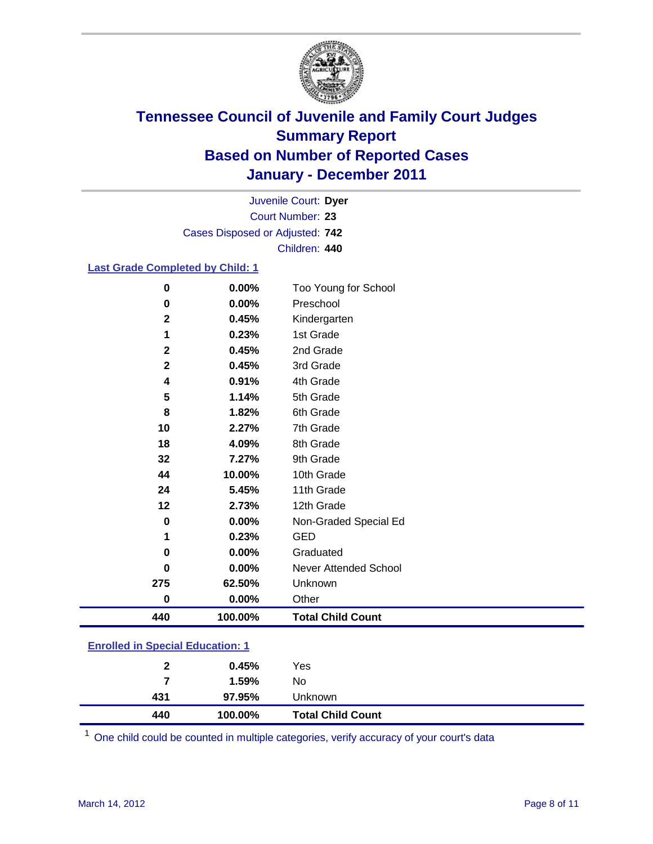

Court Number: **23** Juvenile Court: **Dyer** Cases Disposed or Adjusted: **742** Children: **440**

#### **Last Grade Completed by Child: 1**

| $\pmb{0}$    | 0.00%   | Too Young for School     |
|--------------|---------|--------------------------|
| 0            | 0.00%   | Preschool                |
| $\mathbf{2}$ | 0.45%   | Kindergarten             |
| 1            | 0.23%   | 1st Grade                |
| $\mathbf 2$  | 0.45%   | 2nd Grade                |
| $\mathbf{2}$ | 0.45%   | 3rd Grade                |
| 4            | 0.91%   | 4th Grade                |
| 5            | 1.14%   | 5th Grade                |
| 8            | 1.82%   | 6th Grade                |
| 10           | 2.27%   | 7th Grade                |
| 18           | 4.09%   | 8th Grade                |
| 32           | 7.27%   | 9th Grade                |
| 44           | 10.00%  | 10th Grade               |
| 24           | 5.45%   | 11th Grade               |
| 12           | 2.73%   | 12th Grade               |
| $\bf{0}$     | 0.00%   | Non-Graded Special Ed    |
| 1            | 0.23%   | <b>GED</b>               |
| 0            | 0.00%   | Graduated                |
| $\bf{0}$     | 0.00%   | Never Attended School    |
| 275          | 62.50%  | Unknown                  |
| $\bf{0}$     | 0.00%   | Other                    |
| 440          | 100.00% | <b>Total Child Count</b> |
| .            |         |                          |

#### **Enrolled in Special Education: 1**

| 440          | 100.00% | <b>Total Child Count</b> |
|--------------|---------|--------------------------|
| 431          | 97.95%  | <b>Unknown</b>           |
| 7            | 1.59%   | No                       |
| $\mathbf{2}$ | 0.45%   | Yes                      |
|              |         |                          |

One child could be counted in multiple categories, verify accuracy of your court's data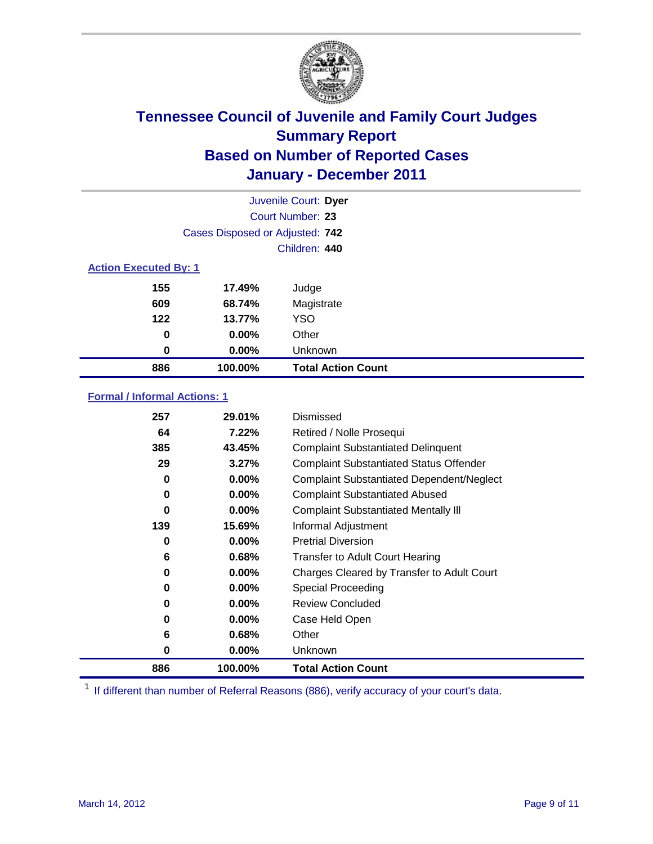

| Juvenile Court: Dyer         |                                 |                           |  |  |  |
|------------------------------|---------------------------------|---------------------------|--|--|--|
|                              | <b>Court Number: 23</b>         |                           |  |  |  |
|                              | Cases Disposed or Adjusted: 742 |                           |  |  |  |
|                              |                                 | Children: 440             |  |  |  |
| <b>Action Executed By: 1</b> |                                 |                           |  |  |  |
| 155                          | 17.49%                          | Judge                     |  |  |  |
| 609                          | 68.74%                          | Magistrate                |  |  |  |
| $122$                        | 13.77%                          | <b>YSO</b>                |  |  |  |
| 0                            | 0.00%                           | Other                     |  |  |  |
| 0                            | 0.00%                           | Unknown                   |  |  |  |
| 886                          | 100.00%                         | <b>Total Action Count</b> |  |  |  |

#### **Formal / Informal Actions: 1**

| 257      | 29.01%   | Dismissed                                        |
|----------|----------|--------------------------------------------------|
| 64       | 7.22%    | Retired / Nolle Prosequi                         |
| 385      | 43.45%   | <b>Complaint Substantiated Delinquent</b>        |
| 29       | 3.27%    | <b>Complaint Substantiated Status Offender</b>   |
| 0        | $0.00\%$ | <b>Complaint Substantiated Dependent/Neglect</b> |
| 0        | $0.00\%$ | <b>Complaint Substantiated Abused</b>            |
| $\bf{0}$ | $0.00\%$ | <b>Complaint Substantiated Mentally III</b>      |
| 139      | 15.69%   | Informal Adjustment                              |
| 0        | $0.00\%$ | <b>Pretrial Diversion</b>                        |
| 6        | 0.68%    | <b>Transfer to Adult Court Hearing</b>           |
| 0        | 0.00%    | Charges Cleared by Transfer to Adult Court       |
| 0        | $0.00\%$ | Special Proceeding                               |
| 0        | $0.00\%$ | <b>Review Concluded</b>                          |
| 0        | $0.00\%$ | Case Held Open                                   |
| 6        | 0.68%    | Other                                            |
| 0        | $0.00\%$ | <b>Unknown</b>                                   |
| 886      | 100.00%  | <b>Total Action Count</b>                        |

<sup>1</sup> If different than number of Referral Reasons (886), verify accuracy of your court's data.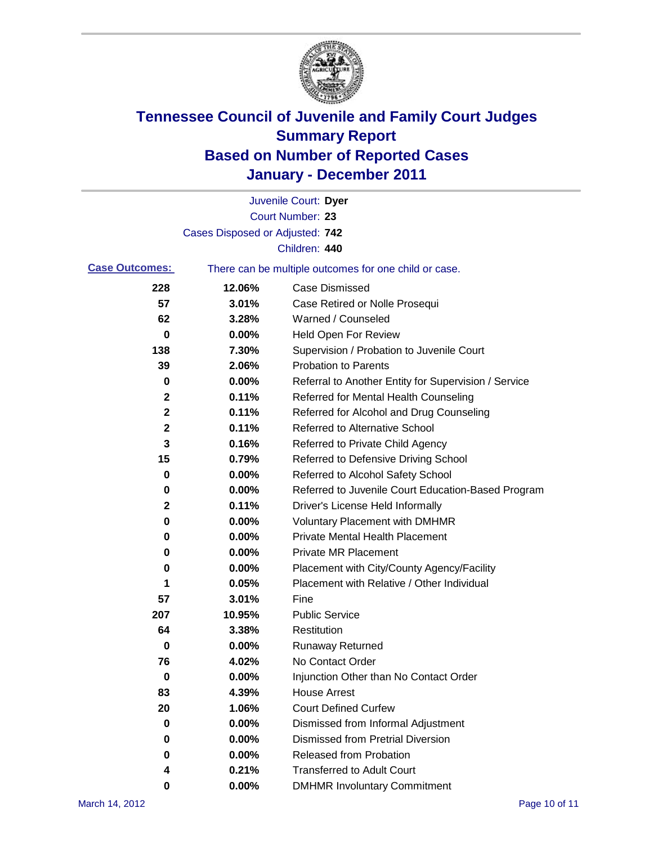

|                       |                                 | Juvenile Court: Dyer                                  |
|-----------------------|---------------------------------|-------------------------------------------------------|
|                       |                                 | Court Number: 23                                      |
|                       | Cases Disposed or Adjusted: 742 |                                                       |
|                       |                                 | Children: 440                                         |
| <b>Case Outcomes:</b> |                                 | There can be multiple outcomes for one child or case. |
| 228                   | 12.06%                          | <b>Case Dismissed</b>                                 |
| 57                    | 3.01%                           | Case Retired or Nolle Prosequi                        |
| 62                    | 3.28%                           | Warned / Counseled                                    |
| 0                     | 0.00%                           | <b>Held Open For Review</b>                           |
| 138                   | 7.30%                           | Supervision / Probation to Juvenile Court             |
| 39                    | 2.06%                           | <b>Probation to Parents</b>                           |
| 0                     | 0.00%                           | Referral to Another Entity for Supervision / Service  |
| 2                     | 0.11%                           | Referred for Mental Health Counseling                 |
| $\mathbf 2$           | 0.11%                           | Referred for Alcohol and Drug Counseling              |
| 2                     | 0.11%                           | <b>Referred to Alternative School</b>                 |
| 3                     | 0.16%                           | Referred to Private Child Agency                      |
| 15                    | 0.79%                           | Referred to Defensive Driving School                  |
| 0                     | 0.00%                           | Referred to Alcohol Safety School                     |
| 0                     | 0.00%                           | Referred to Juvenile Court Education-Based Program    |
| 2                     | 0.11%                           | Driver's License Held Informally                      |
| 0                     | 0.00%                           | <b>Voluntary Placement with DMHMR</b>                 |
| 0                     | 0.00%                           | <b>Private Mental Health Placement</b>                |
| 0                     | 0.00%                           | <b>Private MR Placement</b>                           |
| 0                     | 0.00%                           | Placement with City/County Agency/Facility            |
| 1                     | 0.05%                           | Placement with Relative / Other Individual            |
| 57                    | 3.01%                           | Fine                                                  |
| 207                   | 10.95%                          | <b>Public Service</b>                                 |
| 64                    | 3.38%                           | Restitution                                           |
| 0                     | 0.00%                           | <b>Runaway Returned</b>                               |
| 76                    | 4.02%                           | No Contact Order                                      |
| 0                     | 0.00%                           | Injunction Other than No Contact Order                |
| 83                    | 4.39%                           | <b>House Arrest</b>                                   |
| 20                    | 1.06%                           | <b>Court Defined Curfew</b>                           |
| 0                     | 0.00%                           | Dismissed from Informal Adjustment                    |
| 0                     | 0.00%                           | <b>Dismissed from Pretrial Diversion</b>              |
| 0                     | 0.00%                           | Released from Probation                               |
| 4                     | 0.21%                           | <b>Transferred to Adult Court</b>                     |
| 0                     | 0.00%                           | <b>DMHMR Involuntary Commitment</b>                   |